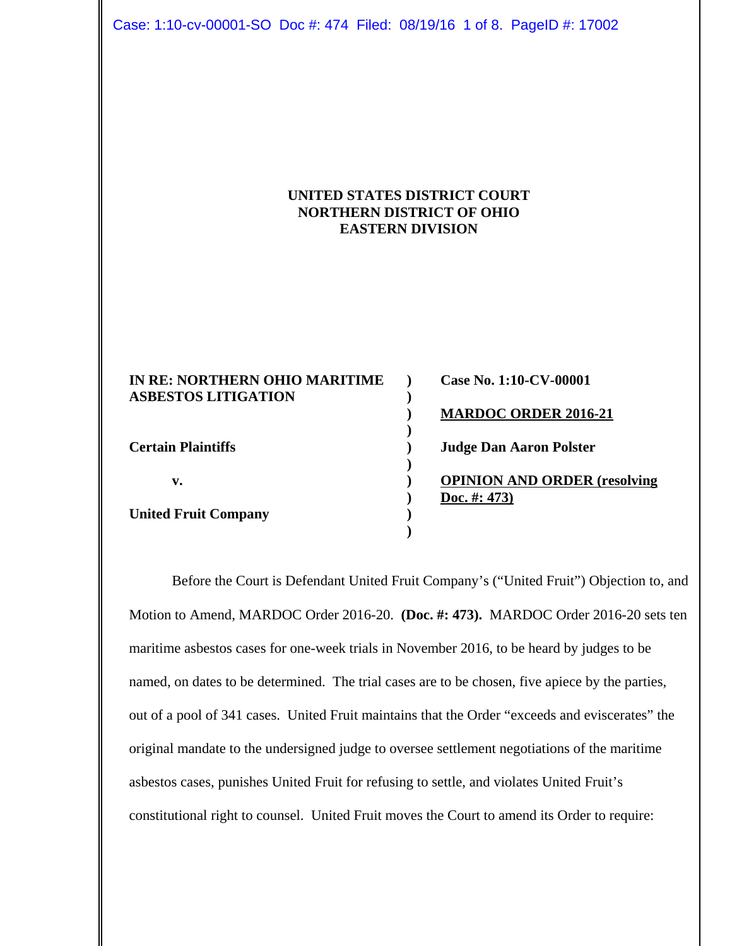Case: 1:10-cv-00001-SO Doc #: 474 Filed: 08/19/16 1 of 8. PageID #: 17002

# **UNITED STATES DISTRICT COURT NORTHERN DISTRICT OF OHIO EASTERN DIVISION**

| IN RE: NORTHERN OHIO MARITIME<br><b>ASBESTOS LITIGATION</b> | Case No. 1:10-CV-00001              |
|-------------------------------------------------------------|-------------------------------------|
|                                                             | <b>MARDOC ORDER 2016-21</b>         |
| <b>Certain Plaintiffs</b>                                   | <b>Judge Dan Aaron Polster</b>      |
| v.                                                          | <b>OPINION AND ORDER (resolving</b> |
| <b>United Fruit Company</b>                                 | Doc. #: 473)                        |

Before the Court is Defendant United Fruit Company's ("United Fruit") Objection to, and Motion to Amend, MARDOC Order 2016-20. **(Doc. #: 473).** MARDOC Order 2016-20 sets ten maritime asbestos cases for one-week trials in November 2016, to be heard by judges to be named, on dates to be determined. The trial cases are to be chosen, five apiece by the parties, out of a pool of 341 cases. United Fruit maintains that the Order "exceeds and eviscerates" the original mandate to the undersigned judge to oversee settlement negotiations of the maritime asbestos cases, punishes United Fruit for refusing to settle, and violates United Fruit's constitutional right to counsel. United Fruit moves the Court to amend its Order to require: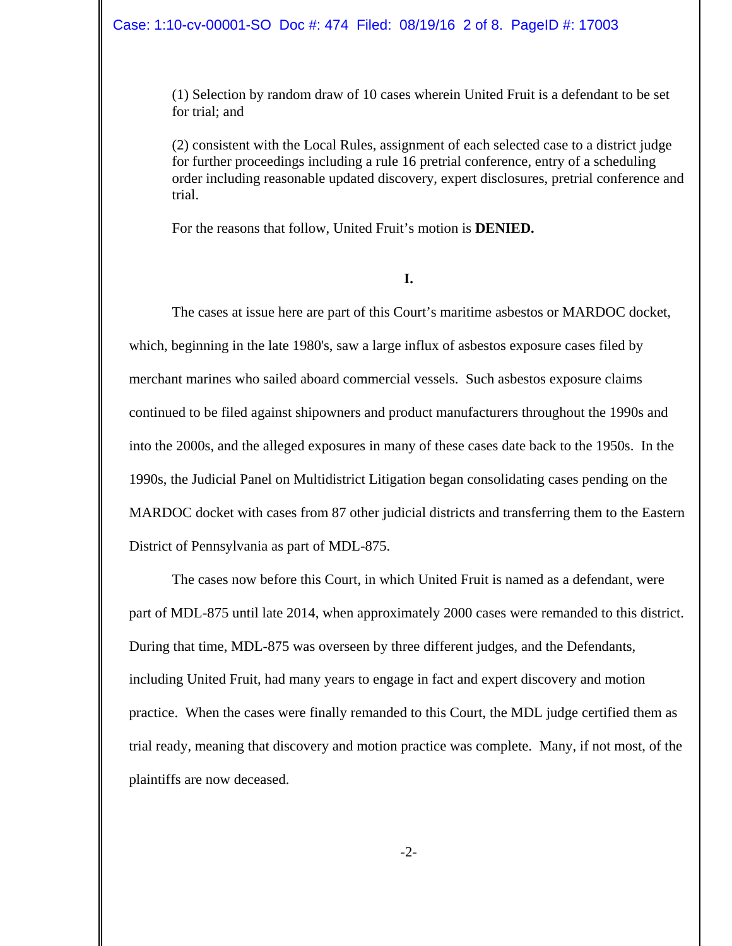#### Case: 1:10-cv-00001-SO Doc #: 474 Filed: 08/19/16 2 of 8. PageID #: 17003

(1) Selection by random draw of 10 cases wherein United Fruit is a defendant to be set for trial; and

(2) consistent with the Local Rules, assignment of each selected case to a district judge for further proceedings including a rule 16 pretrial conference, entry of a scheduling order including reasonable updated discovery, expert disclosures, pretrial conference and trial.

For the reasons that follow, United Fruit's motion is **DENIED.**

**I.**

The cases at issue here are part of this Court's maritime asbestos or MARDOC docket, which, beginning in the late 1980's, saw a large influx of asbestos exposure cases filed by merchant marines who sailed aboard commercial vessels. Such asbestos exposure claims continued to be filed against shipowners and product manufacturers throughout the 1990s and into the 2000s, and the alleged exposures in many of these cases date back to the 1950s. In the 1990s, the Judicial Panel on Multidistrict Litigation began consolidating cases pending on the MARDOC docket with cases from 87 other judicial districts and transferring them to the Eastern District of Pennsylvania as part of MDL-875.

The cases now before this Court, in which United Fruit is named as a defendant, were part of MDL-875 until late 2014, when approximately 2000 cases were remanded to this district. During that time, MDL-875 was overseen by three different judges, and the Defendants, including United Fruit, had many years to engage in fact and expert discovery and motion practice. When the cases were finally remanded to this Court, the MDL judge certified them as trial ready, meaning that discovery and motion practice was complete. Many, if not most, of the plaintiffs are now deceased.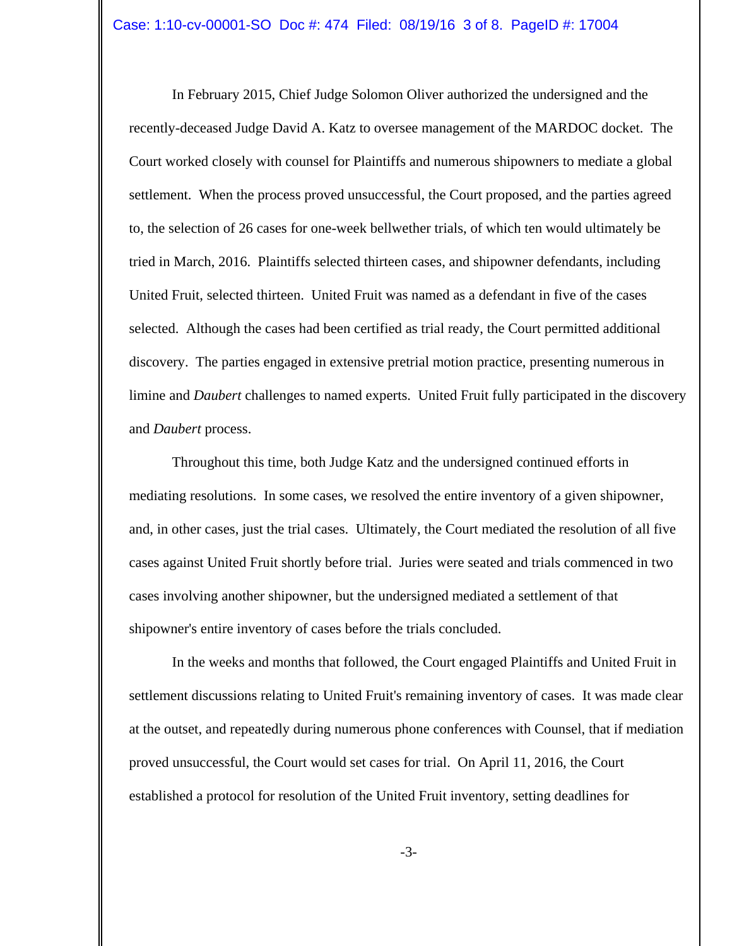In February 2015, Chief Judge Solomon Oliver authorized the undersigned and the recently-deceased Judge David A. Katz to oversee management of the MARDOC docket. The Court worked closely with counsel for Plaintiffs and numerous shipowners to mediate a global settlement. When the process proved unsuccessful, the Court proposed, and the parties agreed to, the selection of 26 cases for one-week bellwether trials, of which ten would ultimately be tried in March, 2016. Plaintiffs selected thirteen cases, and shipowner defendants, including United Fruit, selected thirteen. United Fruit was named as a defendant in five of the cases selected. Although the cases had been certified as trial ready, the Court permitted additional discovery. The parties engaged in extensive pretrial motion practice, presenting numerous in limine and *Daubert* challenges to named experts. United Fruit fully participated in the discovery and *Daubert* process.

Throughout this time, both Judge Katz and the undersigned continued efforts in mediating resolutions. In some cases, we resolved the entire inventory of a given shipowner, and, in other cases, just the trial cases. Ultimately, the Court mediated the resolution of all five cases against United Fruit shortly before trial. Juries were seated and trials commenced in two cases involving another shipowner, but the undersigned mediated a settlement of that shipowner's entire inventory of cases before the trials concluded.

In the weeks and months that followed, the Court engaged Plaintiffs and United Fruit in settlement discussions relating to United Fruit's remaining inventory of cases. It was made clear at the outset, and repeatedly during numerous phone conferences with Counsel, that if mediation proved unsuccessful, the Court would set cases for trial. On April 11, 2016, the Court established a protocol for resolution of the United Fruit inventory, setting deadlines for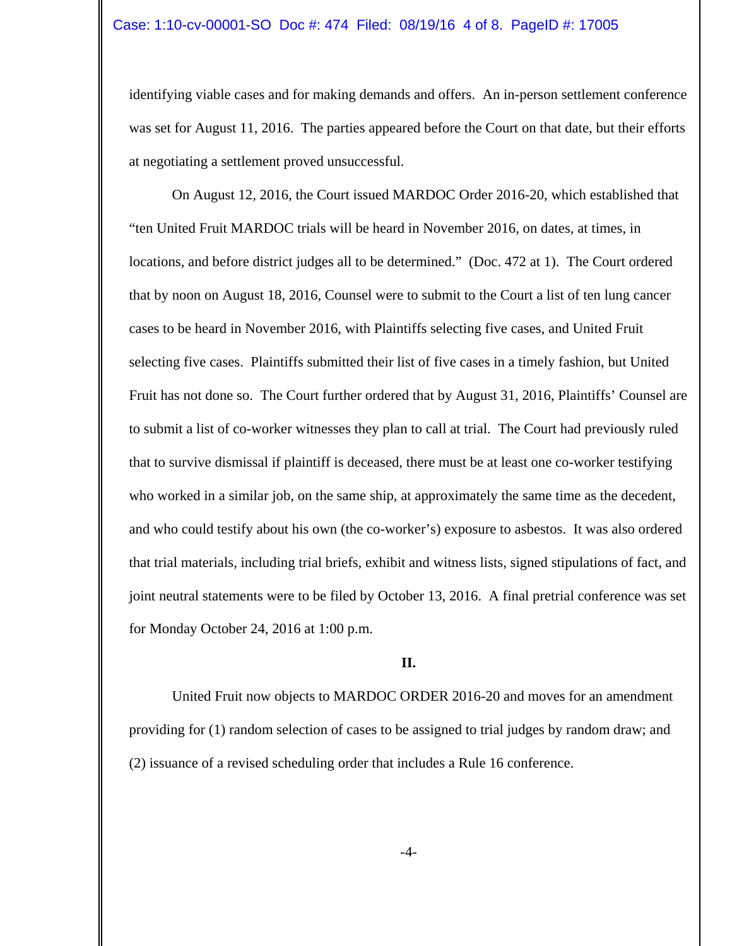identifying viable cases and for making demands and offers. An in-person settlement conference was set for August 11, 2016. The parties appeared before the Court on that date, but their efforts at negotiating a settlement proved unsuccessful.

On August 12, 2016, the Court issued MARDOC Order 2016-20, which established that "ten United Fruit MARDOC trials will be heard in November 2016, on dates, at times, in locations, and before district judges all to be determined." (Doc. 472 at 1). The Court ordered that by noon on August 18, 2016, Counsel were to submit to the Court a list of ten lung cancer cases to be heard in November 2016, with Plaintiffs selecting five cases, and United Fruit selecting five cases. Plaintiffs submitted their list of five cases in a timely fashion, but United Fruit has not done so. The Court further ordered that by August 31, 2016, Plaintiffs' Counsel are to submit a list of co-worker witnesses they plan to call at trial. The Court had previously ruled that to survive dismissal if plaintiff is deceased, there must be at least one co-worker testifying who worked in a similar job, on the same ship, at approximately the same time as the decedent, and who could testify about his own (the co-worker's) exposure to asbestos. It was also ordered that trial materials, including trial briefs, exhibit and witness lists, signed stipulations of fact, and joint neutral statements were to be filed by October 13, 2016. A final pretrial conference was set for Monday October 24, 2016 at 1:00 p.m.

#### **II.**

United Fruit now objects to MARDOC ORDER 2016-20 and moves for an amendment providing for (1) random selection of cases to be assigned to trial judges by random draw; and (2) issuance of a revised scheduling order that includes a Rule 16 conference.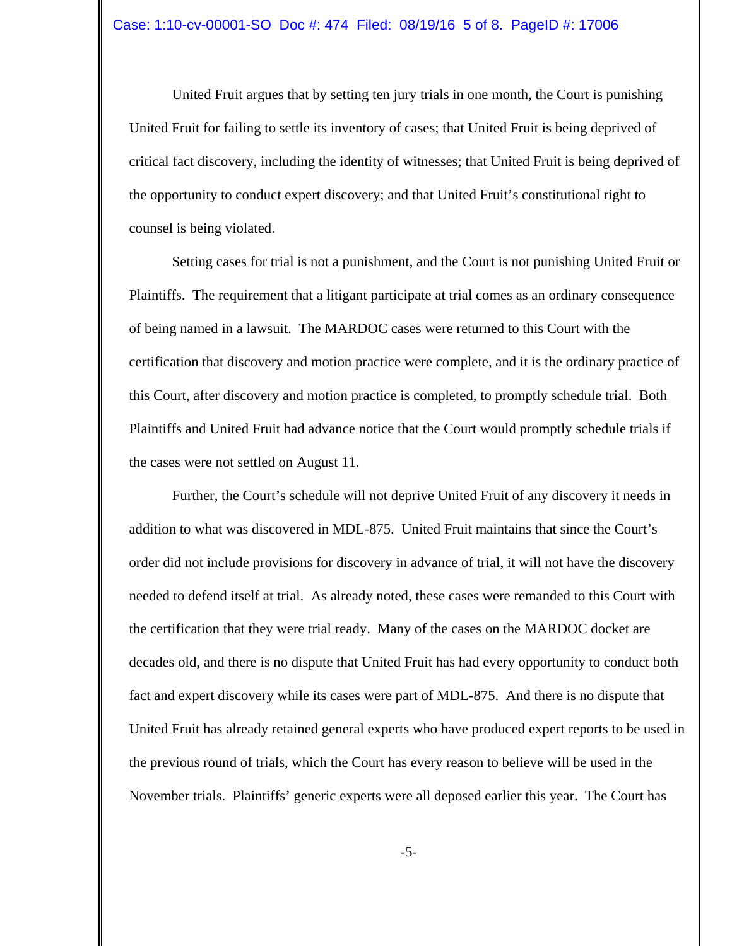United Fruit argues that by setting ten jury trials in one month, the Court is punishing United Fruit for failing to settle its inventory of cases; that United Fruit is being deprived of critical fact discovery, including the identity of witnesses; that United Fruit is being deprived of the opportunity to conduct expert discovery; and that United Fruit's constitutional right to counsel is being violated.

Setting cases for trial is not a punishment, and the Court is not punishing United Fruit or Plaintiffs. The requirement that a litigant participate at trial comes as an ordinary consequence of being named in a lawsuit. The MARDOC cases were returned to this Court with the certification that discovery and motion practice were complete, and it is the ordinary practice of this Court, after discovery and motion practice is completed, to promptly schedule trial. Both Plaintiffs and United Fruit had advance notice that the Court would promptly schedule trials if the cases were not settled on August 11.

Further, the Court's schedule will not deprive United Fruit of any discovery it needs in addition to what was discovered in MDL-875. United Fruit maintains that since the Court's order did not include provisions for discovery in advance of trial, it will not have the discovery needed to defend itself at trial. As already noted, these cases were remanded to this Court with the certification that they were trial ready. Many of the cases on the MARDOC docket are decades old, and there is no dispute that United Fruit has had every opportunity to conduct both fact and expert discovery while its cases were part of MDL-875. And there is no dispute that United Fruit has already retained general experts who have produced expert reports to be used in the previous round of trials, which the Court has every reason to believe will be used in the November trials. Plaintiffs' generic experts were all deposed earlier this year. The Court has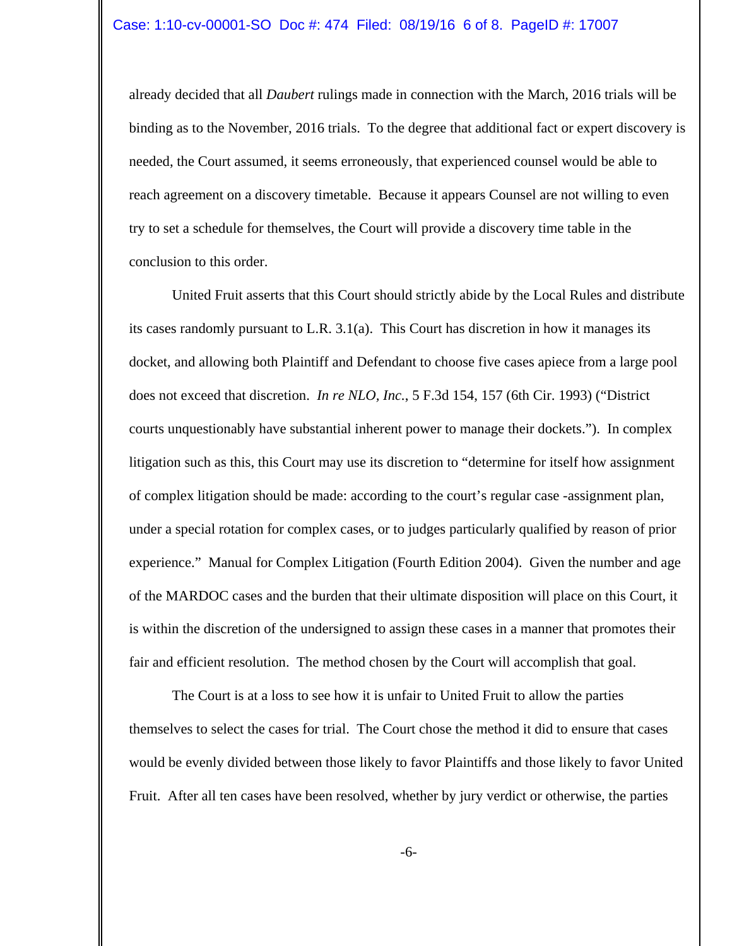already decided that all *Daubert* rulings made in connection with the March, 2016 trials will be binding as to the November, 2016 trials. To the degree that additional fact or expert discovery is needed, the Court assumed, it seems erroneously, that experienced counsel would be able to reach agreement on a discovery timetable. Because it appears Counsel are not willing to even try to set a schedule for themselves, the Court will provide a discovery time table in the conclusion to this order.

United Fruit asserts that this Court should strictly abide by the Local Rules and distribute its cases randomly pursuant to L.R. 3.1(a). This Court has discretion in how it manages its docket, and allowing both Plaintiff and Defendant to choose five cases apiece from a large pool does not exceed that discretion. *In re NLO, Inc.*, 5 F.3d 154, 157 (6th Cir. 1993) ("District courts unquestionably have substantial inherent power to manage their dockets."). In complex litigation such as this, this Court may use its discretion to "determine for itself how assignment of complex litigation should be made: according to the court's regular case -assignment plan, under a special rotation for complex cases, or to judges particularly qualified by reason of prior experience." Manual for Complex Litigation (Fourth Edition 2004). Given the number and age of the MARDOC cases and the burden that their ultimate disposition will place on this Court, it is within the discretion of the undersigned to assign these cases in a manner that promotes their fair and efficient resolution. The method chosen by the Court will accomplish that goal.

The Court is at a loss to see how it is unfair to United Fruit to allow the parties themselves to select the cases for trial. The Court chose the method it did to ensure that cases would be evenly divided between those likely to favor Plaintiffs and those likely to favor United Fruit. After all ten cases have been resolved, whether by jury verdict or otherwise, the parties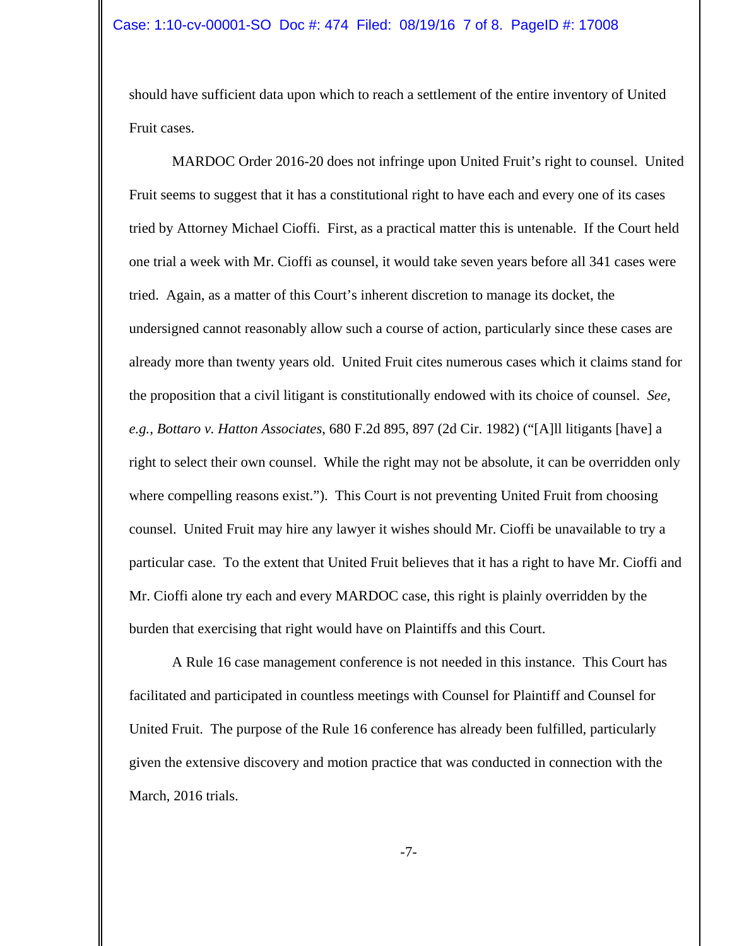should have sufficient data upon which to reach a settlement of the entire inventory of United Fruit cases.

MARDOC Order 2016-20 does not infringe upon United Fruit's right to counsel. United Fruit seems to suggest that it has a constitutional right to have each and every one of its cases tried by Attorney Michael Cioffi. First, as a practical matter this is untenable. If the Court held one trial a week with Mr. Cioffi as counsel, it would take seven years before all 341 cases were tried. Again, as a matter of this Court's inherent discretion to manage its docket, the undersigned cannot reasonably allow such a course of action, particularly since these cases are already more than twenty years old. United Fruit cites numerous cases which it claims stand for the proposition that a civil litigant is constitutionally endowed with its choice of counsel. *See, e.g., Bottaro v. Hatton Associates*, 680 F.2d 895, 897 (2d Cir. 1982) ("[A]ll litigants [have] a right to select their own counsel. While the right may not be absolute, it can be overridden only where compelling reasons exist."). This Court is not preventing United Fruit from choosing counsel. United Fruit may hire any lawyer it wishes should Mr. Cioffi be unavailable to try a particular case. To the extent that United Fruit believes that it has a right to have Mr. Cioffi and Mr. Cioffi alone try each and every MARDOC case, this right is plainly overridden by the burden that exercising that right would have on Plaintiffs and this Court.

A Rule 16 case management conference is not needed in this instance. This Court has facilitated and participated in countless meetings with Counsel for Plaintiff and Counsel for United Fruit. The purpose of the Rule 16 conference has already been fulfilled, particularly given the extensive discovery and motion practice that was conducted in connection with the March, 2016 trials.